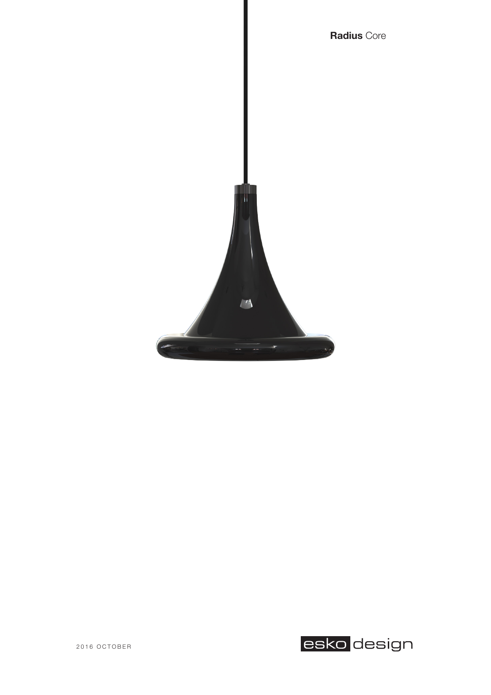